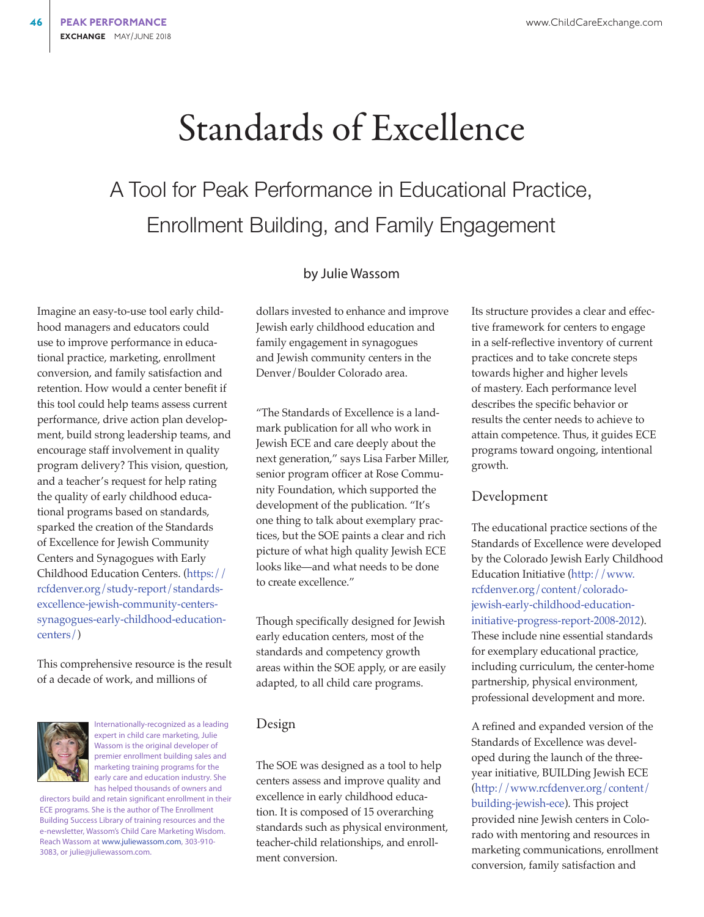# Standards of Excellence

## A Tool for Peak Performance in Educational Practice, Enrollment Building, and Family Engagement

#### by Julie Wassom

Imagine an easy-to-use tool early childhood managers and educators could use to improve performance in educational practice, marketing, enrollment conversion, and family satisfaction and retention. How would a center benefit if this tool could help teams assess current performance, drive action plan development, build strong leadership teams, and encourage staff involvement in quality program delivery? This vision, question, and a teacher's request for help rating the quality of early childhood educational programs based on standards, sparked the creation of the Standards of Excellence for Jewish Community Centers and Synagogues with Early Childhood Education Centers. ([https://](https://rcfdenver.org/study-report/standards-excellence-jewish-community-centers-synagogues-early-childhood-education-centers/) [rcfdenver.org/study-report/standards](https://rcfdenver.org/study-report/standards-excellence-jewish-community-centers-synagogues-early-childhood-education-centers/)[excellence-jewish-community-centers](https://rcfdenver.org/study-report/standards-excellence-jewish-community-centers-synagogues-early-childhood-education-centers/)[synagogues-early-childhood-education](https://rcfdenver.org/study-report/standards-excellence-jewish-community-centers-synagogues-early-childhood-education-centers/)[centers/](https://rcfdenver.org/study-report/standards-excellence-jewish-community-centers-synagogues-early-childhood-education-centers/))

This comprehensive resource is the result of a decade of work, and millions of



Internationally-recognized as a leading expert in child care marketing, Julie Wassom is the original developer of premier enrollment building sales and marketing training programs for the early care and education industry. She has helped thousands of owners and

directors build and retain significant enrollment in their ECE programs. She is the author of The Enrollment Building Success Library of training resources and the e-newsletter, Wassom's Child Care Marketing Wisdom. Reach Wassom at [www.juliewassom.com](http://www.juliewassom.com), 303-910- 3083, or julie@juliewassom.com.

dollars invested to enhance and improve Jewish early childhood education and family engagement in synagogues and Jewish community centers in the Denver/Boulder Colorado area.

"The Standards of Excellence is a landmark publication for all who work in Jewish ECE and care deeply about the next generation," says Lisa Farber Miller, senior program officer at Rose Community Foundation, which supported the development of the publication. "It's one thing to talk about exemplary practices, but the SOE paints a clear and rich picture of what high quality Jewish ECE looks like—and what needs to be done to create excellence."

Though specifically designed for Jewish early education centers, most of the standards and competency growth areas within the SOE apply, or are easily adapted, to all child care programs.

## Design

The SOE was designed as a tool to help centers assess and improve quality and excellence in early childhood education. It is composed of 15 overarching standards such as physical environment, teacher-child relationships, and enrollment conversion.

Its structure provides a clear and effective framework for centers to engage in a self-reflective inventory of current practices and to take concrete steps towards higher and higher levels of mastery. Each performance level describes the specific behavior or results the center needs to achieve to attain competence. Thus, it guides ECE programs toward ongoing, intentional growth.

#### Development

The educational practice sections of the Standards of Excellence were developed by the Colorado Jewish Early Childhood Education Initiative [\(http://www.](http://www.rcfdenver.org/content/colorado-jewish-early-childhood-education-initiative-progress-report-2008-2012) [rcfdenver.org/content/colorado](http://www.rcfdenver.org/content/colorado-jewish-early-childhood-education-initiative-progress-report-2008-2012)[jewish-early-childhood-education](http://www.rcfdenver.org/content/colorado-jewish-early-childhood-education-initiative-progress-report-2008-2012)[initiative-progress-report-2008-2012\)](http://www.rcfdenver.org/content/colorado-jewish-early-childhood-education-initiative-progress-report-2008-2012). These include nine essential standards for exemplary educational practice, including curriculum, the center-home partnership, physical environment, professional development and more.

A refined and expanded version of the Standards of Excellence was developed during the launch of the threeyear initiative, BUILDing Jewish ECE [\(http://www.rcfdenver.org/content/](http://www.rcfdenver.org/content/building-jewish-ece) [building-jewish-ece\)](http://www.rcfdenver.org/content/building-jewish-ece). This project provided nine Jewish centers in Colorado with mentoring and resources in marketing communications, enrollment conversion, family satisfaction and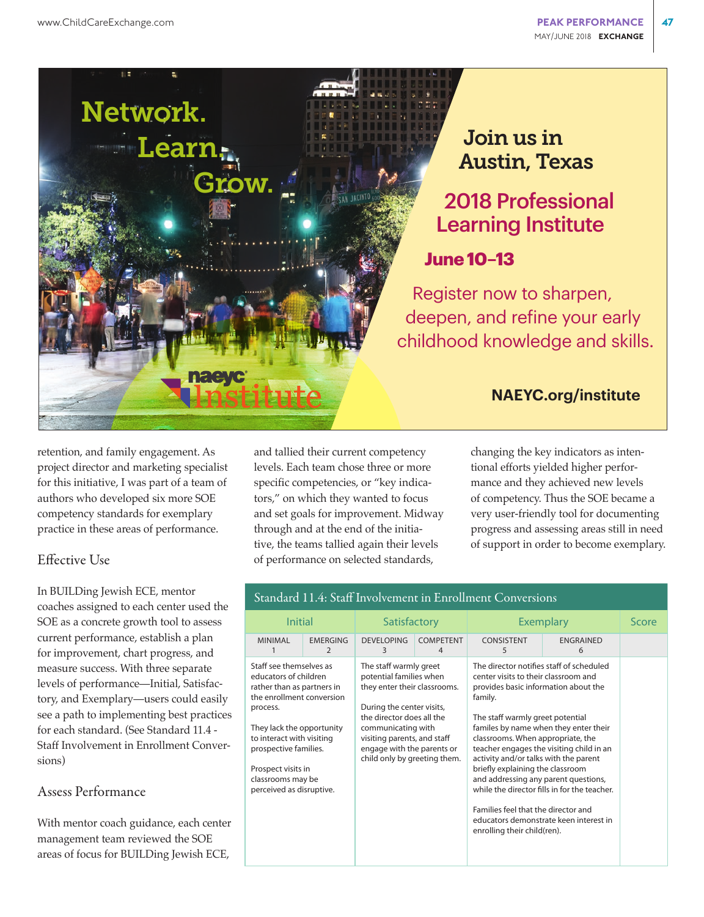

## Join us in Austin, Texas

2018 Professional Learning Institute

## **June 10–13**

Register now to sharpen, deepen, and refine your early childhood knowledge and skills.

## **NAEYC.org/institute**

retention, and family engagement. As project director and marketing specialist for this initiative, I was part of a team of authors who developed six more SOE competency standards for exemplary practice in these areas of performance.

## Effective Use

In BUILDing Jewish ECE, mentor coaches assigned to each center used the SOE as a concrete growth tool to assess current performance, establish a plan for improvement, chart progress, and measure success. With three separate levels of performance—Initial, Satisfactory, and Exemplary—users could easily see a path to implementing best practices for each standard. (See Standard 11.4 - Staff Involvement in Enrollment Conversions)

## Assess Performance

With mentor coach guidance, each center management team reviewed the SOE areas of focus for BUILDing Jewish ECE,

and tallied their current competency levels. Each team chose three or more specific competencies, or "key indicators," on which they wanted to focus and set goals for improvement. Midway through and at the end of the initiative, the teams tallied again their levels of performance on selected standards,

changing the key indicators as intentional efforts yielded higher performance and they achieved new levels of competency. Thus the SOE became a very user-friendly tool for documenting progress and assessing areas still in need of support in order to become exemplary.

| Initial                                                                                                                                                                                                                                                                           |                      | Satisfactory                                                                                                                                                                                                                                                   |                       | <b>Exemplary</b>                                                                                                                                                                                                                                                                                                                                                                                                                                 | Score                                                                                                                              |  |
|-----------------------------------------------------------------------------------------------------------------------------------------------------------------------------------------------------------------------------------------------------------------------------------|----------------------|----------------------------------------------------------------------------------------------------------------------------------------------------------------------------------------------------------------------------------------------------------------|-----------------------|--------------------------------------------------------------------------------------------------------------------------------------------------------------------------------------------------------------------------------------------------------------------------------------------------------------------------------------------------------------------------------------------------------------------------------------------------|------------------------------------------------------------------------------------------------------------------------------------|--|
| <b>MINIMAL</b>                                                                                                                                                                                                                                                                    | <b>EMERGING</b><br>2 | <b>DEVELOPING</b><br>3                                                                                                                                                                                                                                         | <b>COMPETENT</b><br>4 | CONSISTENT<br>5                                                                                                                                                                                                                                                                                                                                                                                                                                  | <b>ENGRAINED</b><br>6                                                                                                              |  |
| Staff see themselves as<br>educators of children<br>rather than as partners in<br>the enrollment conversion<br>process.<br>They lack the opportunity<br>to interact with visiting<br>prospective families.<br>Prospect visits in<br>classrooms may be<br>perceived as disruptive. |                      | The staff warmly greet<br>potential families when<br>they enter their classrooms.<br>During the center visits,<br>the director does all the<br>communicating with<br>visiting parents, and staff<br>engage with the parents or<br>child only by greeting them. |                       | The director notifies staff of scheduled<br>center visits to their classroom and<br>provides basic information about the<br>family.<br>The staff warmly greet potential<br>familes by name when they enter their<br>classrooms. When appropriate, the<br>activity and/or talks with the parent<br>briefly explaining the classroom<br>and addressing any parent questions,<br>Families feel that the director and<br>enrolling their child(ren). | teacher engages the visiting child in an<br>while the director fills in for the teacher.<br>educators demonstrate keen interest in |  |

#### Standard 11.4: Staff Involvement in Enrollment Conversions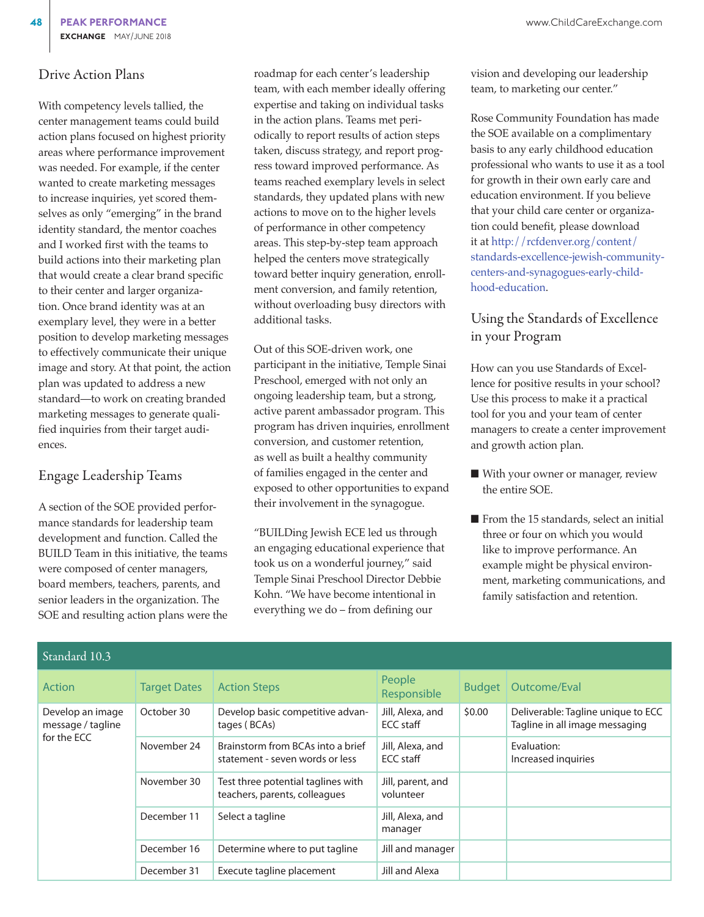### Drive Action Plans

With competency levels tallied, the center management teams could build action plans focused on highest priority areas where performance improvement was needed. For example, if the center wanted to create marketing messages to increase inquiries, yet scored themselves as only "emerging" in the brand identity standard, the mentor coaches and I worked first with the teams to build actions into their marketing plan that would create a clear brand specific to their center and larger organization. Once brand identity was at an exemplary level, they were in a better position to develop marketing messages to effectively communicate their unique image and story. At that point, the action plan was updated to address a new standard—to work on creating branded marketing messages to generate qualified inquiries from their target audiences.

## Engage Leadership Teams

A section of the SOE provided performance standards for leadership team development and function. Called the BUILD Team in this initiative, the teams were composed of center managers, board members, teachers, parents, and senior leaders in the organization. The SOE and resulting action plans were the roadmap for each center's leadership team, with each member ideally offering expertise and taking on individual tasks in the action plans. Teams met periodically to report results of action steps taken, discuss strategy, and report progress toward improved performance. As teams reached exemplary levels in select standards, they updated plans with new actions to move on to the higher levels of performance in other competency areas. This step-by-step team approach helped the centers move strategically toward better inquiry generation, enrollment conversion, and family retention, without overloading busy directors with additional tasks.

Out of this SOE-driven work, one participant in the initiative, Temple Sinai Preschool, emerged with not only an ongoing leadership team, but a strong, active parent ambassador program. This program has driven inquiries, enrollment conversion, and customer retention, as well as built a healthy community of families engaged in the center and exposed to other opportunities to expand their involvement in the synagogue.

"BUILDing Jewish ECE led us through an engaging educational experience that took us on a wonderful journey," said Temple Sinai Preschool Director Debbie Kohn. "We have become intentional in everything we do – from defining our

vision and developing our leadership team, to marketing our center."

Rose Community Foundation has made the SOE available on a complimentary basis to any early childhood education professional who wants to use it as a tool for growth in their own early care and education environment. If you believe that your child care center or organization could benefit, please download it at [http://rcfdenver.org/content/](http://rcfdenver.org/content/standards-excellence-jewish-community-centers-and-synagogues-early-childhood-education) [standards-excellence-jewish-community](http://rcfdenver.org/content/standards-excellence-jewish-community-centers-and-synagogues-early-childhood-education)[centers-and-synagogues-early-child](http://rcfdenver.org/content/standards-excellence-jewish-community-centers-and-synagogues-early-childhood-education)[hood-education.](http://rcfdenver.org/content/standards-excellence-jewish-community-centers-and-synagogues-early-childhood-education)

## Using the Standards of Excellence in your Program

How can you use Standards of Excellence for positive results in your school? Use this process to make it a practical tool for you and your team of center managers to create a center improvement and growth action plan.

- With your owner or manager, review the entire SOE.
- From the 15 standards, select an initial three or four on which you would like to improve performance. An example might be physical environment, marketing communications, and family satisfaction and retention.

| ətanuaru TV.T                         |                     |                                                                      |                                |               |                                                                      |  |  |  |  |
|---------------------------------------|---------------------|----------------------------------------------------------------------|--------------------------------|---------------|----------------------------------------------------------------------|--|--|--|--|
| Action                                | <b>Target Dates</b> | <b>Action Steps</b>                                                  | People<br>Responsible          | <b>Budget</b> | Outcome/Eval                                                         |  |  |  |  |
| Develop an image<br>message / tagline | October 30          | Develop basic competitive advan-<br>tages (BCAs)                     | Jill, Alexa, and<br>ECC staff  | \$0.00        | Deliverable: Tagline unique to ECC<br>Tagline in all image messaging |  |  |  |  |
| for the ECC                           | November 24         | Brainstorm from BCAs into a brief<br>statement - seven words or less | Jill, Alexa, and<br>ECC staff  |               | Evaluation:<br>Increased inquiries                                   |  |  |  |  |
|                                       | November 30         | Test three potential taglines with<br>teachers, parents, colleagues  | Jill, parent, and<br>volunteer |               |                                                                      |  |  |  |  |
|                                       | December 11         | Select a tagline                                                     | Jill, Alexa, and<br>manager    |               |                                                                      |  |  |  |  |
|                                       | December 16         | Determine where to put tagline                                       | Jill and manager               |               |                                                                      |  |  |  |  |
|                                       | December 31         | Execute tagline placement                                            | Jill and Alexa                 |               |                                                                      |  |  |  |  |

 $S_1 = 1.10.3$